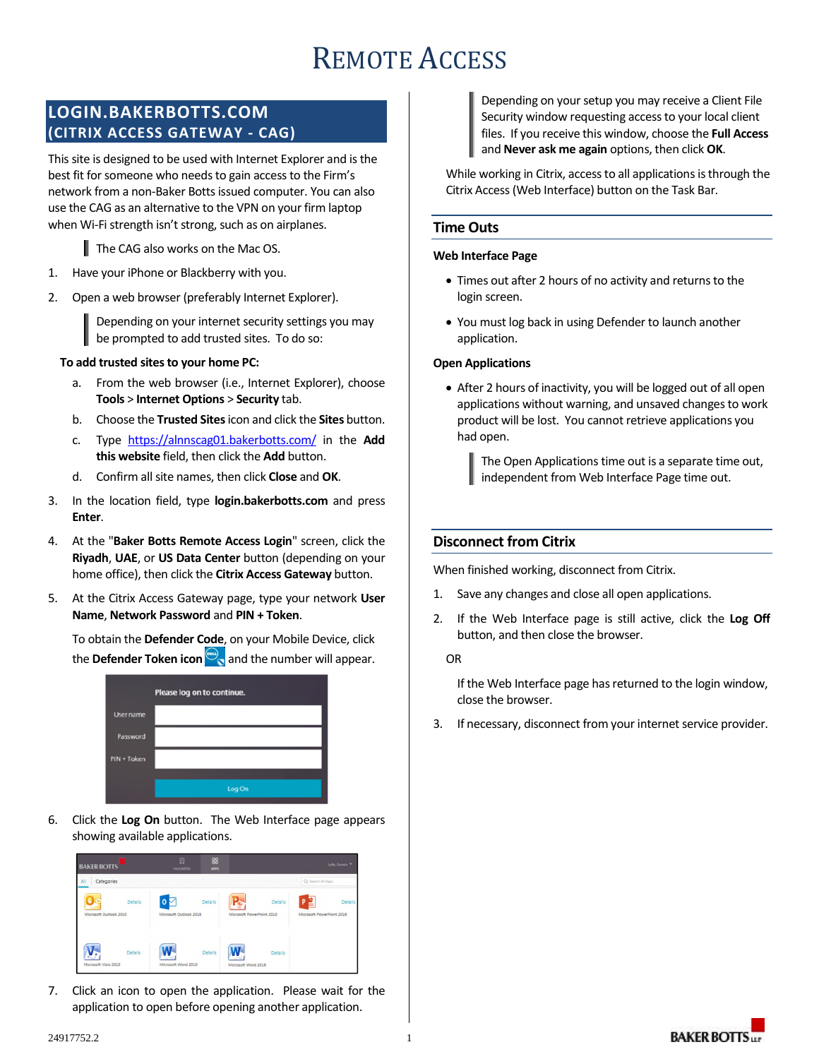# REMOTE ACCESS

# **LOGIN.BAKERBOTTS.COM (CITRIX ACCESS GATEWAY - CAG)**

This site is designed to be used with Internet Explorer and is the best fit for someone who needs to gain access to the Firm's network from a non-Baker Botts issued computer. You can also use the CAG as an alternative to the VPN on your firm laptop when Wi-Fi strength isn't strong, such as on airplanes.

The CAG also works on the Mac OS.

- 1. Have your iPhone or Blackberry with you.
- 2. Open a web browser (preferably Internet Explorer).

Depending on your internet security settings you may be prompted to add trusted sites. To do so:

#### **To add trusted sites to your home PC:**

- a. From the web browser (i.e., Internet Explorer), choose **Tools** > **Internet Options** > **Security** tab.
- b. Choose the **Trusted Sites** icon and click the **Sites** button.
- c. Type https://alnnscag01.bakerbotts.com/ in the **Add this website** field, then click the **Add** button.
- d. Confirm all site names, then click **Close** and **OK**.
- 3. In the location field, type **login.bakerbotts.com** and press **Enter**.
- 4. At the "**Baker Botts Remote Access Login**" screen, click the **Riyadh**, **UAE**, or **US Data Center** button (depending on your home office), then click the **Citrix Access Gateway** button.
- 5. At the Citrix Access Gateway page, type your network **User Name**, **Network Password** and **PIN + Token**.

To obtain the **Defender Code**, on your Mobile Device, click the **Defender Token icon**  $\mathbb{R}$  and the number will appear.

| Please log on to continue. |        |  |  |  |  |  |  |
|----------------------------|--------|--|--|--|--|--|--|
| User name                  |        |  |  |  |  |  |  |
| Password                   |        |  |  |  |  |  |  |
| PIN + Token                |        |  |  |  |  |  |  |
|                            |        |  |  |  |  |  |  |
|                            | Log On |  |  |  |  |  |  |

6. Click the **Log On** button. The Web Interface page appears showing available applications.

| <b>BAKER BOTTS</b>     |                | 囗<br><b>FAVORITES</b>              | 88<br><b>APPS</b> |                           |                |                                | Lytle, Danvin  |
|------------------------|----------------|------------------------------------|-------------------|---------------------------|----------------|--------------------------------|----------------|
| All<br>Categories      |                |                                    |                   |                           |                | Q Search All Apps              |                |
| Microsoft Outlook 2010 | Details        | $\Omega$<br>Microsoft Outlook 2016 | <b>Details</b>    | Microsoft PowerPoint 2010 | <b>Details</b> | D<br>Microsoft PowerPoint 2016 | <b>Details</b> |
| Microsoft Visio 2010   | <b>Details</b> | Microsoft Word 2010                | <b>Details</b>    | Microsoft Word 2016       | Details        |                                |                |

7. Click an icon to open the application. Please wait for the application to open before opening another application.

Depending on your setup you may receive a Client File Security window requesting access to your local client files. If you receive this window, choose the **Full Access** and **Never ask me again** options, then click **OK**.

While working in Citrix, access to all applications is through the Citrix Access (Web Interface) button on the Task Bar.

### **Time Outs**

#### **Web Interface Page**

- Times out after 2 hours of no activity and returns to the login screen.
- You must log back in using Defender to launch another application.

#### **Open Applications**

 After 2 hours of inactivity, you will be logged out of all open applications without warning, and unsaved changes to work product will be lost. You cannot retrieve applications you had open.

The Open Applications time out is a separate time out, independent from Web Interface Page time out.

## **Disconnect from Citrix**

When finished working, disconnect from Citrix.

- 1. Save any changes and close all open applications.
- 2. If the Web Interface page is still active, click the **Log Off** button, and then close the browser.

OR

If the Web Interface page has returned to the login window, close the browser.

3. If necessary, disconnect from your internet service provider.